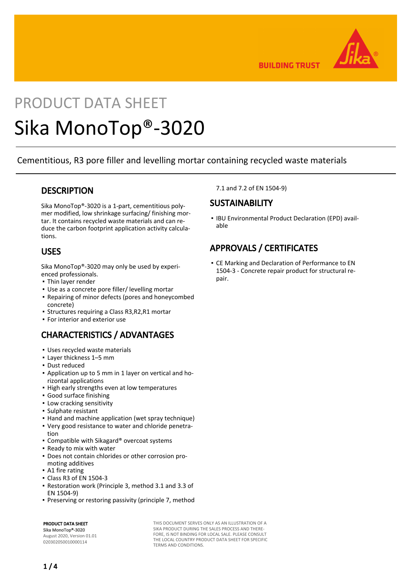

**BUILDING TRUST** 

# PRODUCT DATA SHEET Sika MonoTop®-3020

Cementitious, R3 pore filler and levelling mortar containing recycled waste materials

# **DESCRIPTION**

Sika MonoTop®-3020 is a 1-part, cementitious polymer modified, low shrinkage surfacing/ finishing mortar. It contains recycled waste materials and can reduce the carbon footprint application activity calculations.

# USES

Sika MonoTop®-3020 may only be used by experienced professionals.

- Thin layer render
- Use as a concrete pore filler/ levelling mortar
- **Repairing of minor defects (pores and honeycombed** concrete)
- Structures requiring a Class R3,R2,R1 mortar
- For interior and exterior use

# CHARACTERISTICS / ADVANTAGES

- Uses recycled waste materials
- Layer thickness 1–5 mm
- Dust reduced
- Application up to 5 mm in 1 layer on vertical and ho-▪ rizontal applications
- **.** High early strengths even at low temperatures
- Good surface finishing
- **.** Low cracking sensitivity
- Sulphate resistant
- Hand and machine application (wet spray technique)
- Very good resistance to water and chloride penetra-▪ tion
- Compatible with Sikagard® overcoat systems
- Ready to mix with water
- Does not contain chlorides or other corrosion pro-▪ moting additives
- **A1 fire rating**
- Class R3 of EN 1504-3
- Restoration work (Principle 3, method 3.1 and 3.3 of EN 1504-9)
- Preserving or restoring passivity (principle 7, method

PRODUCT DATA SHEET Sika MonoTop®-3020

August 2020, Version 01.01 020302050010000114

THIS DOCUMENT SERVES ONLY AS AN ILLUSTRATION OF A SIKA PRODUCT DURING THE SALES PROCESS AND THERE-FORE, IS NOT BINDING FOR LOCAL SALE. PLEASE CONSULT THE LOCAL COUNTRY PRODUCT DATA SHEET FOR SPECIFIC TERMS AND CONDITIONS.

7.1 and 7.2 of EN 1504-9)

# **SUSTAINABILITY**

• IBU Environmental Product Declaration (EPD) available

# APPROVALS / CERTIFICATES

**• CE Marking and Declaration of Performance to EN** 1504-3 - Concrete repair product for structural repair.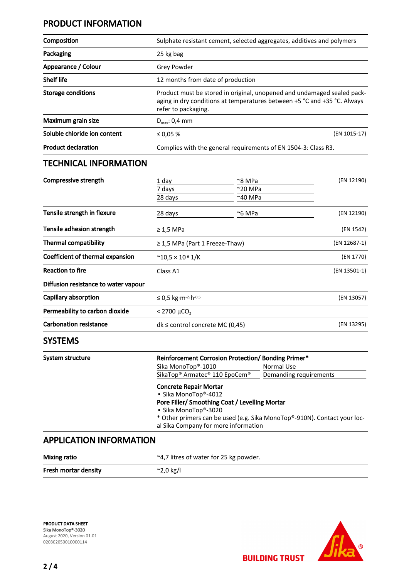# PRODUCT INFORMATION

| Composition                      | Sulphate resistant cement, selected aggregates, additives and polymers                                                                                                     |                                                          |              |
|----------------------------------|----------------------------------------------------------------------------------------------------------------------------------------------------------------------------|----------------------------------------------------------|--------------|
| Packaging                        | 25 kg bag                                                                                                                                                                  |                                                          |              |
| Appearance / Colour              | <b>Grey Powder</b>                                                                                                                                                         |                                                          |              |
| <b>Shelf life</b>                | 12 months from date of production                                                                                                                                          |                                                          |              |
| <b>Storage conditions</b>        | Product must be stored in original, unopened and undamaged sealed pack-<br>aging in dry conditions at temperatures between +5 °C and +35 °C. Always<br>refer to packaging. |                                                          |              |
| Maximum grain size               | $D_{\text{max}}$ : 0,4 mm                                                                                                                                                  |                                                          |              |
| Soluble chloride ion content     | (EN 1015-17)<br>≤ 0,05 $%$                                                                                                                                                 |                                                          |              |
| <b>Product declaration</b>       | Complies with the general requirements of EN 1504-3: Class R3.                                                                                                             |                                                          |              |
| <b>TECHNICAL INFORMATION</b>     |                                                                                                                                                                            |                                                          |              |
| <b>Compressive strength</b>      | 1 day<br>7 days<br>28 days                                                                                                                                                 | $\approx$ 8 MPa<br>$^{\sim}$ 20 MPa<br>$~^{\sim}$ 40 MPa | (EN 12190)   |
| Tensile strength in flexure      | 28 days                                                                                                                                                                    | $~\sim$ 6 MPa                                            | (EN 12190)   |
| Tensile adhesion strength        | $\geq 1.5$ MPa                                                                                                                                                             |                                                          | (EN 1542)    |
| <b>Thermal compatibility</b>     | $\geq$ 1,5 MPa (Part 1 Freeze-Thaw)                                                                                                                                        |                                                          | (EN 12687-1) |
| Coefficient of thermal expansion | (EN 1770)<br>$^{\sim}$ 10,5 × 10 <sup>-6</sup> 1/K                                                                                                                         |                                                          |              |

| Coefficient of thermal expansion     | $^{\circ}$ 10.5 × 10 <sup>-6</sup> 1/K | (EN 1/70)    |  |
|--------------------------------------|----------------------------------------|--------------|--|
| <b>Reaction to fire</b>              | Class A1                               | (EN 13501-1) |  |
| Diffusion resistance to water vapour |                                        |              |  |
| Capillary absorption                 | $≤$ 0.5 kg⋅m⋅ <sup>2</sup> ⋅h⋅0,5      | (EN 13057)   |  |
| Permeability to carbon dioxide       | $< 2700 \mu CO$ ,                      |              |  |
| <b>Carbonation resistance</b>        | $dk \le$ control concrete MC (0.45)    | (EN 13295)   |  |

# SYSTEMS

| System structure               | Reinforcement Corrosion Protection/ Bonding Primer*               |                                                                                                                                                    |  |  |
|--------------------------------|-------------------------------------------------------------------|----------------------------------------------------------------------------------------------------------------------------------------------------|--|--|
|                                | Sika MonoTop®-1010                                                | Normal Use                                                                                                                                         |  |  |
|                                | SikaTop <sup>®</sup> Armatec <sup>®</sup> 110 EpoCem <sup>®</sup> | Demanding requirements                                                                                                                             |  |  |
|                                | <b>Concrete Repair Mortar</b>                                     |                                                                                                                                                    |  |  |
|                                | • Sika MonoTop®-4012                                              | Pore Filler/ Smoothing Coat / Levelling Mortar<br>• Sika MonoTop®-3020<br>* Other primers can be used (e.g. Sika MonoTop®-910N). Contact your loc- |  |  |
|                                |                                                                   |                                                                                                                                                    |  |  |
|                                |                                                                   |                                                                                                                                                    |  |  |
|                                |                                                                   |                                                                                                                                                    |  |  |
|                                |                                                                   | al Sika Company for more information                                                                                                               |  |  |
| <b>APPLICATION INFORMATION</b> |                                                                   |                                                                                                                                                    |  |  |

# Mixing ratio **and a strategier of the CALC**  $\sim$  4,7 litres of water for 25 kg powder. Fresh mortar density  $\sim$  2,0 kg/l

PRODUCT DATA SHEET Sika MonoTop®-3020 August 2020, Version 01.01 020302050010000114



**BUILDING TRUST**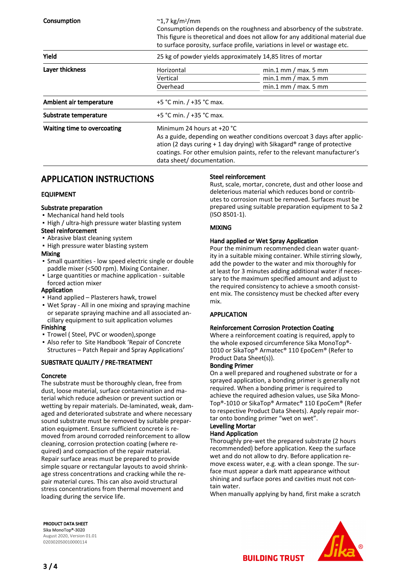| Consumption                 | $\sim$ 1,7 kg/m <sup>2</sup> /mm                            | Consumption depends on the roughness and absorbency of the substrate.<br>This figure is theoretical and does not allow for any additional material due<br>to surface porosity, surface profile, variations in level or wastage etc.                                                              |  |  |
|-----------------------------|-------------------------------------------------------------|--------------------------------------------------------------------------------------------------------------------------------------------------------------------------------------------------------------------------------------------------------------------------------------------------|--|--|
| Yield                       | 25 kg of powder yields approximately 14,85 litres of mortar |                                                                                                                                                                                                                                                                                                  |  |  |
| Layer thickness             | Horizontal                                                  | $min.1$ mm / max. 5 mm                                                                                                                                                                                                                                                                           |  |  |
|                             | Vertical                                                    | $min.1$ mm / max. 5 mm                                                                                                                                                                                                                                                                           |  |  |
|                             | Overhead                                                    | $min.1$ mm / max. 5 mm                                                                                                                                                                                                                                                                           |  |  |
| Ambient air temperature     | +5 °C min. / +35 °C max.                                    |                                                                                                                                                                                                                                                                                                  |  |  |
| Substrate temperature       | +5 °C min. / +35 °C max.                                    |                                                                                                                                                                                                                                                                                                  |  |  |
| Waiting time to overcoating |                                                             | Minimum 24 hours at $+20$ °C<br>As a guide, depending on weather conditions overcoat 3 days after applic-<br>ation (2 days curing $+1$ day drying) with Sikagard® range of protective<br>coatings. For other emulsion paints, refer to the relevant manufacturer's<br>data sheet/ documentation. |  |  |

# APPLICATION INSTRUCTIONS

#### EQUIPMENT

#### Substrate preparation

- Mechanical hand held tools
- **.** High / ultra-high pressure water blasting system

#### Steel reinforcement

- **.** Abrasive blast cleaning system
- **.** High pressure water blasting system

#### Mixing

- **·** Small quantities low speed electric single or double paddle mixer (<500 rpm). Mixing Container.
- **Large quantities or machine application suitable** forced action mixer

#### Application

- Hand applied Plasterers hawk, trowel
- Wet Spray All in one mixing and spraying machine or separate spraying machine and all associated ancillary equipment to suit application volumes

#### Finishing

- Trowel ( Steel, PVC or wooden),sponge
- **-** Also refer to Site Handbook 'Repair of Concrete Structures – Patch Repair and Spray Applications'

#### SUBSTRATE QUALITY / PRE-TREATMENT

#### Concrete

The substrate must be thoroughly clean, free from dust, loose material, surface contamination and material which reduce adhesion or prevent suction or wetting by repair materials. De-laminated, weak, damaged and deteriorated substrate and where necessary sound substrate must be removed by suitable preparation equipment. Ensure sufficient concrete is removed from around corroded reinforcement to allow cleaning, corrosion protection coating (where required) and compaction of the repair material. Repair surface areas must be prepared to provide simple square or rectangular layouts to avoid shrinkage stress concentrations and cracking while the repair material cures. This can also avoid structural stress concentrations from thermal movement and loading during the service life.

#### Steel reinforcement

Rust, scale, mortar, concrete, dust and other loose and deleterious material which reduces bond or contributes to corrosion must be removed. Surfaces must be prepared using suitable preparation equipment to Sa 2 (ISO 8501-1).

#### MIXING

#### Hand applied or Wet Spray Application

Pour the minimum recommended clean water quantity in a suitable mixing container. While stirring slowly, add the powder to the water and mix thoroughly for at least for 3 minutes adding additional water if necessary to the maximum specified amount and adjust to the required consistency to achieve a smooth consistent mix. The consistency must be checked after every mix.

#### APPLICATION

#### Reinforcement Corrosion Protection Coating

Where a reinforcement coating is required, apply to the whole exposed circumference Sika MonoTop®- 1010 or SikaTop® Armatec® 110 EpoCem® (Refer to Product Data Sheet(s)).

#### Bonding Primer

On a well prepared and roughened substrate or for a sprayed application, a bonding primer is generally not required. When a bonding primer is required to achieve the required adhesion values, use Sika Mono-Top®-1010 or SikaTop® Armatec® 110 EpoCem® (Refer to respective Product Data Sheets). Apply repair mortar onto bonding primer "wet on wet".

## Levelling Mortar

#### Hand Application

Thoroughly pre-wet the prepared substrate (2 hours recommended) before application. Keep the surface wet and do not allow to dry. Before application remove excess water, e.g. with a clean sponge. The surface must appear a dark matt appearance without shining and surface pores and cavities must not contain water.

When manually applying by hand, first make a scratch





**BUILDING TRUST**